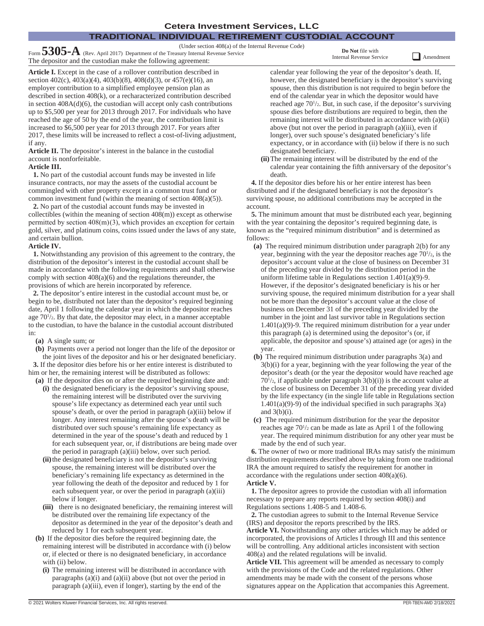# **TRADITIONAL INDIVIDUAL RETIREMENT CUSTODIAL ACCOUNT**

(Under section 408(a) of the Internal Revenue Code) Form **5305-A** (Rev. April 2017) Department of the Treasury Internal Revenue Service

The depositor and the custodian make the following agreement:

**Do Not** file with Internal Revenue Service **Q** Amendment

**Article I.** Except in the case of a rollover contribution described in section 402(c), 403(a)(4), 403(b)(8), 408(d)(3), or 457(e)(16), an employer contribution to a simplified employee pension plan as described in section 408(k), or a recharacterized contribution described in section 408A(d)(6), the custodian will accept only cash contributions up to \$5,500 per year for 2013 through 2017. For individuals who have reached the age of 50 by the end of the year, the contribution limit is increased to \$6,500 per year for 2013 through 2017. For years after 2017, these limits will be increased to reflect a cost-of-living adjustment, if any.

**Article II.** The depositor's interest in the balance in the custodial account is nonforfeitable.

## **Article III.**

**1.** No part of the custodial account funds may be invested in life insurance contracts, nor may the assets of the custodial account be commingled with other property except in a common trust fund or common investment fund (within the meaning of section 408(a)(5)).

**2.** No part of the custodial account funds may be invested in collectibles (within the meaning of section 408(m)) except as otherwise permitted by section  $408(m)(3)$ , which provides an exception for certain gold, silver, and platinum coins, coins issued under the laws of any state, and certain bullion.

## **Article IV.**

**1.** Notwithstanding any provision of this agreement to the contrary, the distribution of the depositor's interest in the custodial account shall be made in accordance with the following requirements and shall otherwise comply with section 408(a)(6) and the regulations thereunder, the provisions of which are herein incorporated by reference.

**2.** The depositor's entire interest in the custodial account must be, or begin to be, distributed not later than the depositor's required beginning date, April 1 following the calendar year in which the depositor reaches age  $70\frac{1}{2}$ . By that date, the depositor may elect, in a manner acceptable to the custodian, to have the balance in the custodial account distributed in:

**(a)** A single sum; or

**(b)** Payments over a period not longer than the life of the depositor or the joint lives of the depositor and his or her designated beneficiary.

**3.** If the depositor dies before his or her entire interest is distributed to him or her, the remaining interest will be distributed as follows:

- **(a)** If the depositor dies on or after the required beginning date and: **(i)** the designated beneficiary is the depositor's surviving spouse, the remaining interest will be distributed over the surviving spouse's life expectancy as determined each year until such spouse's death, or over the period in paragraph (a)(iii) below if longer. Any interest remaining after the spouse's death will be distributed over such spouse's remaining life expectancy as determined in the year of the spouse's death and reduced by 1 for each subsequent year, or, if distributions are being made over the period in paragraph (a)(iii) below, over such period.
	- **(ii)**the designated beneficiary is not the depositor's surviving spouse, the remaining interest will be distributed over the beneficiary's remaining life expectancy as determined in the year following the death of the depositor and reduced by 1 for each subsequent year, or over the period in paragraph (a)(iii) below if longer.
	- **(iii)** there is no designated beneficiary, the remaining interest will be distributed over the remaining life expectancy of the depositor as determined in the year of the depositor's death and reduced by 1 for each subsequent year.
- **(b)** If the depositor dies before the required beginning date, the remaining interest will be distributed in accordance with (i) below or, if elected or there is no designated beneficiary, in accordance with (ii) below.
	- **(i)** The remaining interest will be distributed in accordance with paragraphs (a)(i) and (a)(ii) above (but not over the period in paragraph (a)(iii), even if longer), starting by the end of the

calendar year following the year of the depositor's death. If, however, the designated beneficiary is the depositor's surviving spouse, then this distribution is not required to begin before the end of the calendar year in which the depositor would have reached age  $70\frac{1}{2}$ . But, in such case, if the depositor's surviving spouse dies before distributions are required to begin, then the remaining interest will be distributed in accordance with (a)(ii) above (but not over the period in paragraph (a)(iii), even if longer), over such spouse's designated beneficiary's life expectancy, or in accordance with (ii) below if there is no such designated beneficiary.

**(ii)**The remaining interest will be distributed by the end of the calendar year containing the fifth anniversary of the depositor's death.

**4.** If the depositor dies before his or her entire interest has been distributed and if the designated beneficiary is not the depositor's surviving spouse, no additional contributions may be accepted in the account.

**5.** The minimum amount that must be distributed each year, beginning with the year containing the depositor's required beginning date, is known as the "required minimum distribution" and is determined as follows:

- **(a)** The required minimum distribution under paragraph 2(b) for any year, beginning with the year the depositor reaches age  $70<sup>1</sup>/2$ , is the depositor's account value at the close of business on December 31 of the preceding year divided by the distribution period in the uniform lifetime table in Regulations section  $1.401(a)(9)$ -9. However, if the depositor's designated beneficiary is his or her surviving spouse, the required minimum distribution for a year shall not be more than the depositor's account value at the close of business on December 31 of the preceding year divided by the number in the joint and last survivor table in Regulations section  $1.401(a)(9)$ -9. The required minimum distribution for a year under this paragraph (a) is determined using the depositor's (or, if applicable, the depositor and spouse's) attained age (or ages) in the year.
- **(b)** The required minimum distribution under paragraphs 3(a) and 3(b)(i) for a year, beginning with the year following the year of the depositor's death (or the year the depositor would have reached age  $70\frac{1}{2}$ , if applicable under paragraph  $3(b)(i)$ ) is the account value at the close of business on December 31 of the preceding year divided by the life expectancy (in the single life table in Regulations section  $1.401(a)(9)-9$  of the individual specified in such paragraphs  $3(a)$ and  $3(b)(i)$ .
- **(c)** The required minimum distribution for the year the depositor reaches age  $70\frac{1}{2}$  can be made as late as April 1 of the following year. The required minimum distribution for any other year must be made by the end of such year.

**6.** The owner of two or more traditional IRAs may satisfy the minimum distribution requirements described above by taking from one traditional IRA the amount required to satisfy the requirement for another in accordance with the regulations under section 408(a)(6). **Article V.**

**1.** The depositor agrees to provide the custodian with all information necessary to prepare any reports required by section 408(i) and Regulations sections 1.408-5 and 1.408-6.

**2.** The custodian agrees to submit to the Internal Revenue Service (IRS) and depositor the reports prescribed by the IRS.

**Article VI.** Notwithstanding any other articles which may be added or incorporated, the provisions of Articles I through III and this sentence will be controlling. Any additional articles inconsistent with section 408(a) and the related regulations will be invalid.

**Article VII.** This agreement will be amended as necessary to comply with the provisions of the Code and the related regulations. Other amendments may be made with the consent of the persons whose signatures appear on the Application that accompanies this Agreement.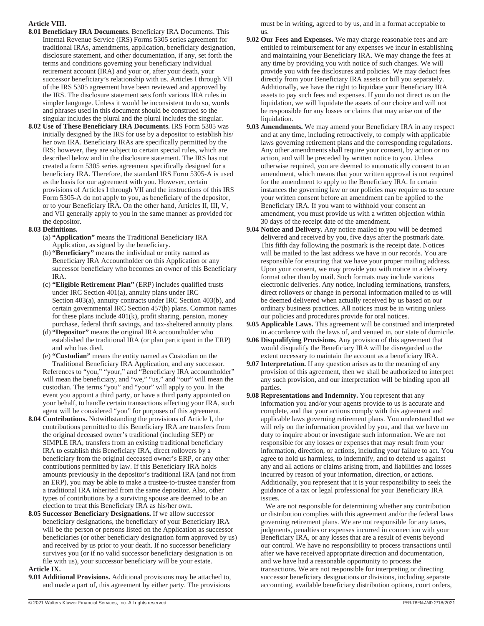## **Article VIII.**

- **8.01 Beneficiary IRA Documents.** Beneficiary IRA Documents. This Internal Revenue Service (IRS) Forms 5305 series agreement for traditional IRAs, amendments, application, beneficiary designation, disclosure statement, and other documentation, if any, set forth the terms and conditions governing your beneficiary individual retirement account (IRA) and your or, after your death, your successor beneficiary's relationship with us. Articles I through VII of the IRS 5305 agreement have been reviewed and approved by the IRS. The disclosure statement sets forth various IRA rules in simpler language. Unless it would be inconsistent to do so, words and phrases used in this document should be construed so the singular includes the plural and the plural includes the singular.
- **8.02 Use of These Beneficiary IRA Documents.** IRS Form 5305 was initially designed by the IRS for use by a depositor to establish his/ her own IRA. Beneficiary IRAs are specifically permitted by the IRS; however, they are subject to certain special rules, which are described below and in the disclosure statement. The IRS has not created a form 5305 series agreement specifically designed for a beneficiary IRA. Therefore, the standard IRS Form 5305-A is used as the basis for our agreement with you. However, certain provisions of Articles I through VII and the instructions of this IRS Form 5305-A do not apply to you, as beneficiary of the depositor, or to your Beneficiary IRA. On the other hand, Articles II, III, V, and VII generally apply to you in the same manner as provided for the depositor.

## **8.03 Definitions.**

- (a) **"Application"** means the Traditional Beneficiary IRA Application, as signed by the beneficiary.
- (b) **"Beneficiary"** means the individual or entity named as Beneficiary IRA Accountholder on this Application or any successor beneficiary who becomes an owner of this Beneficiary IRA.
- (c) **"Eligible Retirement Plan"** (ERP) includes qualified trusts under IRC Section 401(a), annuity plans under IRC Section 403(a), annuity contracts under IRC Section 403(b), and certain governmental IRC Section 457(b) plans. Common names for these plans include 401(k), profit sharing, pension, money purchase, federal thrift savings, and tax-sheltered annuity plans.
- (d) **"Depositor"** means the original IRA accountholder who established the traditional IRA (or plan participant in the ERP) and who has died.
- (e) **"Custodian"** means the entity named as Custodian on the Traditional Beneficiary IRA Application, and any successor.

References to "you," "your," and "Beneficiary IRA accountholder" will mean the beneficiary, and "we," "us," and "our" will mean the custodian. The terms "you" and "your" will apply to you. In the event you appoint a third party, or have a third party appointed on your behalf, to handle certain transactions affecting your IRA, such agent will be considered "you" for purposes of this agreement.

- **8.04 Contributions.** Notwithstanding the provisions of Article I, the contributions permitted to this Beneficiary IRA are transfers from the original deceased owner's traditional (including SEP) or SIMPLE IRA, transfers from an existing traditional beneficiary IRA to establish this Beneficiary IRA, direct rollovers by a beneficiary from the original deceased owner's ERP, or any other contributions permitted by law. If this Beneficiary IRA holds amounts previously in the depositor's traditional IRA (and not from an ERP), you may be able to make a trustee-to-trustee transfer from a traditional IRA inherited from the same depositor. Also, other types of contributions by a surviving spouse are deemed to be an election to treat this Beneficiary IRA as his/her own.
- **8.05 Successor Beneficiary Designations.** If we allow successor beneficiary designations, the beneficiary of your Beneficiary IRA will be the person or persons listed on the Application as successor beneficiaries (or other beneficiary designation form approved by us) and received by us prior to your death. If no successor beneficiary survives you (or if no valid successor beneficiary designation is on file with us), your successor beneficiary will be your estate.

#### **Article IX.**

**9.01 Additional Provisions.** Additional provisions may be attached to, and made a part of, this agreement by either party. The provisions

must be in writing, agreed to by us, and in a format acceptable to us.

- **9.02 Our Fees and Expenses.** We may charge reasonable fees and are entitled to reimbursement for any expenses we incur in establishing and maintaining your Beneficiary IRA. We may change the fees at any time by providing you with notice of such changes. We will provide you with fee disclosures and policies. We may deduct fees directly from your Beneficiary IRA assets or bill you separately. Additionally, we have the right to liquidate your Beneficiary IRA assets to pay such fees and expenses. If you do not direct us on the liquidation, we will liquidate the assets of our choice and will not be responsible for any losses or claims that may arise out of the liquidation.
- **9.03 Amendments.** We may amend your Beneficiary IRA in any respect and at any time, including retroactively, to comply with applicable laws governing retirement plans and the corresponding regulations. Any other amendments shall require your consent, by action or no action, and will be preceded by written notice to you. Unless otherwise required, you are deemed to automatically consent to an amendment, which means that your written approval is not required for the amendment to apply to the Beneficiary IRA. In certain instances the governing law or our policies may require us to secure your written consent before an amendment can be applied to the Beneficiary IRA. If you want to withhold your consent an amendment, you must provide us with a written objection within 30 days of the receipt date of the amendment.
- **9.04 Notice and Delivery.** Any notice mailed to you will be deemed delivered and received by you, five days after the postmark date. This fifth day following the postmark is the receipt date. Notices will be mailed to the last address we have in our records. You are responsible for ensuring that we have your proper mailing address. Upon your consent, we may provide you with notice in a delivery format other than by mail. Such formats may include various electronic deliveries. Any notice, including terminations, transfers, direct rollovers or change in personal information mailed to us will be deemed delivered when actually received by us based on our ordinary business practices. All notices must be in writing unless our policies and procedures provide for oral notices.
- **9.05 Applicable Laws.** This agreement will be construed and interpreted in accordance with the laws of, and venued in, our state of domicile.
- **9.06 Disqualifying Provisions.** Any provision of this agreement that would disqualify the Beneficiary IRA will be disregarded to the extent necessary to maintain the account as a beneficiary IRA.
- **9.07 Interpretation.** If any question arises as to the meaning of any provision of this agreement, then we shall be authorized to interpret any such provision, and our interpretation will be binding upon all parties.
- **9.08 Representations and Indemnity.** You represent that any information you and/or your agents provide to us is accurate and complete, and that your actions comply with this agreement and applicable laws governing retirement plans. You understand that we will rely on the information provided by you, and that we have no duty to inquire about or investigate such information. We are not responsible for any losses or expenses that may result from your information, direction, or actions, including your failure to act. You agree to hold us harmless, to indemnify, and to defend us against any and all actions or claims arising from, and liabilities and losses incurred by reason of your information, direction, or actions. Additionally, you represent that it is your responsibility to seek the guidance of a tax or legal professional for your Beneficiary IRA issues.

We are not responsible for determining whether any contribution or distribution complies with this agreement and/or the federal laws governing retirement plans. We are not responsible for any taxes, judgments, penalties or expenses incurred in connection with your Beneficiary IRA, or any losses that are a result of events beyond our control. We have no responsibility to process transactions until after we have received appropriate direction and documentation, and we have had a reasonable opportunity to process the transactions. We are not responsible for interpreting or directing successor beneficiary designations or divisions, including separate accounting, available beneficiary distribution options, court orders,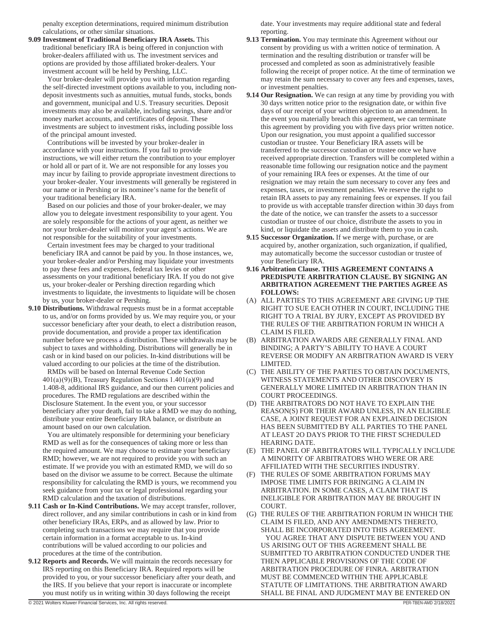penalty exception determinations, required minimum distribution calculations, or other similar situations.

**9.09 Investment of Traditional Beneficiary IRA Assets.** This traditional beneficiary IRA is being offered in conjunction with broker-dealers affiliated with us. The investment services and options are provided by those affiliated broker-dealers. Your investment account will be held by Pershing, LLC.

Your broker-dealer will provide you with information regarding the self-directed investment options available to you, including nondeposit investments such as annuities, mutual funds, stocks, bonds and government, municipal and U.S. Treasury securities. Deposit investments may also be available, including savings, share and/or money market accounts, and certificates of deposit. These investments are subject to investment risks, including possible loss of the principal amount invested.

Contributions will be invested by your broker-dealer in accordance with your instructions. If you fail to provide instructions, we will either return the contribution to your employer or hold all or part of it. We are not responsible for any losses you may incur by failing to provide appropriate investment directions to your broker-dealer. Your investments will generally be registered in our name or in Pershing or its nominee's name for the benefit of your traditional beneficiary IRA.

Based on our policies and those of your broker-dealer, we may allow you to delegate investment responsibility to your agent. You are solely responsible for the actions of your agent, as neither we nor your broker-dealer will monitor your agent's actions. We are not responsible for the suitability of your investments.

Certain investment fees may be charged to your traditional beneficiary IRA and cannot be paid by you. In those instances, we, your broker-dealer and/or Pershing may liquidate your investments to pay these fees and expenses, federal tax levies or other assessments on your traditional beneficiary IRA. If you do not give us, your broker-dealer or Pershing direction regarding which investments to liquidate, the investments to liquidate will be chosen by us, your broker-dealer or Pershing.

**9.10 Distributions.** Withdrawal requests must be in a format acceptable to us, and/or on forms provided by us. We may require you, or your successor beneficiary after your death, to elect a distribution reason, provide documentation, and provide a proper tax identification number before we process a distribution. These withdrawals may be subject to taxes and withholding. Distributions will generally be in cash or in kind based on our policies. In-kind distributions will be valued according to our policies at the time of the distribution.

RMDs will be based on Internal Revenue Code Section  $401(a)(9)(B)$ , Treasury Regulation Sections 1.401(a)(9) and 1.408-8, additional IRS guidance, and our then current policies and procedures. The RMD regulations are described within the Disclosure Statement. In the event you, or your successor beneficiary after your death, fail to take a RMD we may do nothing, distribute your entire Beneficiary IRA balance, or distribute an amount based on our own calculation.

You are ultimately responsible for determining your beneficiary RMD as well as for the consequences of taking more or less than the required amount. We may choose to estimate your beneficiary RMD; however, we are not required to provide you with such an estimate. If we provide you with an estimated RMD, we will do so based on the divisor we assume to be correct. Because the ultimate responsibility for calculating the RMD is yours, we recommend you seek guidance from your tax or legal professional regarding your RMD calculation and the taxation of distributions.

- **9.11 Cash or In-Kind Contributions.** We may accept transfer, rollover, direct rollover, and any similar contributions in cash or in kind from other beneficiary IRAs, ERPs, and as allowed by law. Prior to completing such transactions we may require that you provide certain information in a format acceptable to us. In-kind contributions will be valued according to our policies and procedures at the time of the contribution.
- **9.12 Reports and Records.** We will maintain the records necessary for IRS reporting on this Beneficiary IRA. Required reports will be provided to you, or your successor beneficiary after your death, and the IRS. If you believe that your report is inaccurate or incomplete you must notify us in writing within 30 days following the receipt

date. Your investments may require additional state and federal reporting.

- **9.13 Termination.** You may terminate this Agreement without our consent by providing us with a written notice of termination. A termination and the resulting distribution or transfer will be processed and completed as soon as administratively feasible following the receipt of proper notice. At the time of termination we may retain the sum necessary to cover any fees and expenses, taxes, or investment penalties.
- **9.14 Our Resignation.** We can resign at any time by providing you with 30 days written notice prior to the resignation date, or within five days of our receipt of your written objection to an amendment. In the event you materially breach this agreement, we can terminate this agreement by providing you with five days prior written notice. Upon our resignation, you must appoint a qualified successor custodian or trustee. Your Beneficiary IRA assets will be transferred to the successor custodian or trustee once we have received appropriate direction. Transfers will be completed within a reasonable time following our resignation notice and the payment of your remaining IRA fees or expenses. At the time of our resignation we may retain the sum necessary to cover any fees and expenses, taxes, or investment penalties. We reserve the right to retain IRA assets to pay any remaining fees or expenses. If you fail to provide us with acceptable transfer direction within 30 days from the date of the notice, we can transfer the assets to a successor custodian or trustee of our choice, distribute the assets to you in kind, or liquidate the assets and distribute them to you in cash.
- **9.15 Successor Organization.** If we merge with, purchase, or are acquired by, another organization, such organization, if qualified, may automatically become the successor custodian or trustee of your Beneficiary IRA.
- **9.16 Arbitration Clause. THIS AGREEMENT CONTAINS A PREDISPUTE ARBITRATION CLAUSE. BY SIGNING AN ARBITRATION AGREEMENT THE PARTIES AGREE AS FOLLOWS:**
- (A) ALL PARTIES TO THIS AGREEMENT ARE GIVING UP THE RIGHT TO SUE EACH OTHER IN COURT, INCLUDING THE RIGHT TO A TRIAL BY JURY, EXCEPT AS PROVIDED BY THE RULES OF THE ARBITRATION FORUM IN WHICH A CLAIM IS FILED.
- (B) ARBITRATION AWARDS ARE GENERALLY FINAL AND BINDING; A PARTY'S ABILITY TO HAVE A COURT REVERSE OR MODIFY AN ARBITRATION AWARD IS VERY LIMITED.
- (C) THE ABILITY OF THE PARTIES TO OBTAIN DOCUMENTS, WITNESS STATEMENTS AND OTHER DISCOVERY IS GENERALLY MORE LIMITED IN ARBITRATION THAN IN COURT PROCEEDINGS.
- (D) THE ARBITRATORS DO NOT HAVE TO EXPLAIN THE REASON(S) FOR THEIR AWARD UNLESS, IN AN ELIGIBLE CASE, A JOINT REQUEST FOR AN EXPLAINED DECISION HAS BEEN SUBMITTED BY ALL PARTIES TO THE PANEL AT LEAST 2O DAYS PRIOR TO THE FIRST SCHEDULED HEARING DATE.
- (E) THE PANEL OF ARBITRATORS WILL TYPICALLY INCLUDE A MINORITY OF ARBITRATORS WHO WERE OR ARE AFFILIATED WITH THE SECURITIES INDUSTRY.
- (F) THE RULES OF SOME ARBITRATION FORUMS MAY IMPOSE TIME LIMITS FOR BRINGING A CLAIM IN ARBITRATION. IN SOME CASES, A CLAIM THAT IS INELIGIBLE FOR ARBITRATION MAY BE BROUGHT IN COURT.
- (G) THE RULES OF THE ARBITRATION FORUM IN WHICH THE CLAIM IS FILED, AND ANY AMENDMENTS THERETO, SHALL BE INCORPORATED INTO THIS AGREEMENT. YOU AGREE THAT ANY DISPUTE BETWEEN YOU AND US ARISING OUT OF THIS AGREEMENT SHALL BE SUBMITTED TO ARBITRATION CONDUCTED UNDER THE THEN APPLICABLE PROVISIONS OF THE CODE OF ARBITRATION PROCEDURE OF FINRA. ARBITRATION MUST BE COMMENCED WITHIN THE APPLICABLE STATUTE OF LIMITATIONS. THE ARBITRATION AWARD SHALL BE FINAL AND JUDGMENT MAY BE ENTERED ON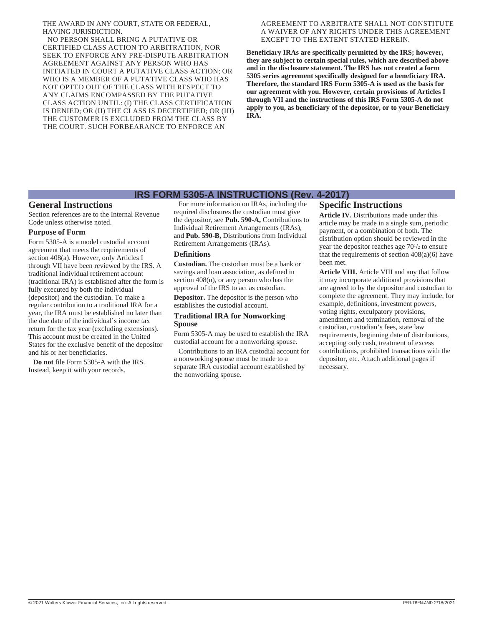THE AWARD IN ANY COURT, STATE OR FEDERAL, HAVING JURISDICTION.

NO PERSON SHALL BRING A PUTATIVE OR CERTIFIED CLASS ACTION TO ARBITRATION, NOR SEEK TO ENFORCE ANY PRE-DISPUTE ARBITRATION AGREEMENT AGAINST ANY PERSON WHO HAS INITIATED IN COURT A PUTATIVE CLASS ACTION; OR WHO IS A MEMBER OF A PUTATIVE CLASS WHO HAS NOT OPTED OUT OF THE CLASS WITH RESPECT TO ANY CLAIMS ENCOMPASSED BY THE PUTATIVE CLASS ACTION UNTIL: (I) THE CLASS CERTIFICATION IS DENIED; OR (II) THE CLASS IS DECERTIFIED; OR (III) THE CUSTOMER IS EXCLUDED FROM THE CLASS BY THE COURT. SUCH FORBEARANCE TO ENFORCE AN

#### AGREEMENT TO ARBITRATE SHALL NOT CONSTITUTE A WAIVER OF ANY RIGHTS UNDER THIS AGREEMENT EXCEPT TO THE EXTENT STATED HEREIN.

**Beneficiary IRAs are specifically permitted by the IRS; however, they are subject to certain special rules, which are described above and in the disclosure statement. The IRS has not created a form 5305 series agreement specifically designed for a beneficiary IRA. Therefore, the standard IRS Form 5305-A is used as the basis for our agreement with you. However, certain provisions of Articles I through VII and the instructions of this IRS Form 5305-A do not apply to you, as beneficiary of the depositor, or to your Beneficiary IRA.**

## **IRS FORM 5305-A INSTRUCTIONS (Rev. 4-2017)**

# **General Instructions**

Section references are to the Internal Revenue Code unless otherwise noted.

### **Purpose of Form**

Form 5305-A is a model custodial account agreement that meets the requirements of section 408(a). However, only Articles I through VII have been reviewed by the IRS. A traditional individual retirement account (traditional IRA) is established after the form is fully executed by both the individual (depositor) and the custodian. To make a regular contribution to a traditional IRA for a year, the IRA must be established no later than the due date of the individual's income tax return for the tax year (excluding extensions). This account must be created in the United States for the exclusive benefit of the depositor and his or her beneficiaries.

**Do not** file Form 5305-A with the IRS. Instead, keep it with your records.

For more information on IRAs, including the required disclosures the custodian must give the depositor, see **Pub. 590-A,** Contributions to Individual Retirement Arrangements (IRAs), and **Pub. 590-B,** Distributions from Individual Retirement Arrangements (IRAs).

#### **Definitions**

**Custodian.** The custodian must be a bank or savings and loan association, as defined in section 408(n), or any person who has the approval of the IRS to act as custodian.

**Depositor.** The depositor is the person who establishes the custodial account.

#### **Traditional IRA for Nonworking Spouse**

Form 5305-A may be used to establish the IRA custodial account for a nonworking spouse.

Contributions to an IRA custodial account for a nonworking spouse must be made to a separate IRA custodial account established by the nonworking spouse.

## **Specific Instructions**

**Article IV.** Distributions made under this article may be made in a single sum, periodic payment, or a combination of both. The distribution option should be reviewed in the year the depositor reaches age  $70\frac{1}{2}$  to ensure that the requirements of section  $408(a)(6)$  have been met.

**Article VIII.** Article VIII and any that follow it may incorporate additional provisions that are agreed to by the depositor and custodian to complete the agreement. They may include, for example, definitions, investment powers, voting rights, exculpatory provisions, amendment and termination, removal of the custodian, custodian's fees, state law requirements, beginning date of distributions, accepting only cash, treatment of excess contributions, prohibited transactions with the depositor, etc. Attach additional pages if necessary.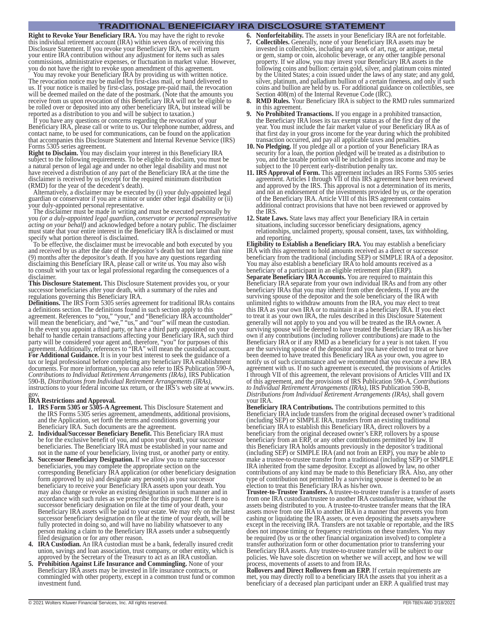## **TRADITIONAL BENEFICIARY IRA DISCLOSURE STATEMENT**

**Right to Revoke Your Beneficiary IRA.** You may have the right to revoke this individual retirement account (IRA) within seven days of receiving this Disclosure Statement. If you revoke your Beneficiary IRA, we will return your entire IRA contribution without any adjustment for items such as sales commissions, administrative expenses, or fluctuation in market value. However, you do not have the right to revoke upon amendment of this agreement.

You may revoke your Beneficiary IRA by providing us with written notice. The revocation notice may be mailed by first-class mail, or hand delivered to us. If your notice is mailed by first-class, postage pre-paid mail, the revocation will be deemed mailed on the date of the postmark. (Note that the amounts you receive from us upon revocation of this Beneficiary IRA will not be eligible to be rolled over or deposited into any other beneficiary IRA, but instead will be reported as a distribution to you and will be subject to taxation.)

If you have any questions or concerns regarding the revocation of your Beneficiary IRA, please call or write to us. Our telephone number, address, and contact name, to be used for communications, can be found on the application that accompanies this Disclosure Statement and Internal Revenue Service (IRS) Forms 5305 series agreement.

**Right to Disclaim.** You may disclaim your interest in this Beneficiary IRA subject to the following requirements. To be eligible to disclaim, you must be a natural person of legal age and under no other legal disability and must not have received a distribution of any part of the Beneficiary IRA at the time the disclaimer is received by us (except for the required minimum distribution (RMD) for the year of the decedent's death).

Alternatively, a disclaimer may be executed by (i) your duly-appointed legal guardian or conservator if you are a minor or under other legal disability or (ii) your duly-appointed personal representative.

The disclaimer must be made in writing and must be executed personally by you *(or a duly-appointed legal guardian, conservator or personal representative acting on your behalf)* and acknowledged before a notary public. The disclaimer must state that your entire interest in the Beneficiary IRA is disclaimed or must specify what portion thereof is disclaimed.

To be effective, the disclaimer must be irrevocable and both executed by you and received by us after the date of the depositor's death but not later than nine (9) months after the depositor's death. If you have any questions regarding disclaiming this Beneficiary IRA, please call or write us. You may also wish to consult with your tax or legal professional regarding the consequences of a disclaimer.

**This Disclosure Statement.** This Disclosure Statement provides you, or your successor beneficiaries after your death, with a summary of the rules and regulations governing this Beneficiary IRA.

**Definitions.** The IRS Form 5305 series agreement for traditional IRAs contains a definitions section. The definitions found in such section apply to this agreement. References to "you," "your," and "Beneficiary IRA accountholder" will mean the beneficiary, and "we," "us," and "our" will mean the custodian. In the event you appoint a third party, or have a third party appointed on your behalf to handle certain transactions affecting your Beneficiary IRA, such third party will be considered your agent and, therefore, "you" for purposes of this agreement. Additionally, references to "IRA" will mean the custodial account. **For Additional Guidance.** It is in your best interest to seek the guidance of a tax or legal professional before completing any beneficiary IRA establishment documents. For more information, you can also refer to IRS Publication 590-A, *Contributions to Individual Retirement Arrangements (IRAs)*, IRS Publication instructions to your federal income tax return, or the IRS's web site at www.irs. gov.

#### **IRA Restrictions and Approval.**

- **1. IRS Form 5305 or 5305-A Agreement.** This Disclosure Statement and the IRS Forms 5305 series agreement, amendments, additional provisions, and the Application, set forth the terms and conditions governing your Beneficiary IRA. Such documents are the agreement.
- **2. Individual/Successor Beneficiary Benefit.** This Beneficiary IRA must be for the exclusive benefit of you, and upon your death, your successor beneficiaries. The Beneficiary IRA must be established in your name and not in the name of your beneficiary, living trust, or another party or entity.
- **3. Successor Beneficiary Designation.** If we allow you to name successor beneficiaries, you may complete the appropriate section on the corresponding Beneficiary IRA application (or other beneficiary designation form approved by us) and designate any person(s) as your successor beneficiary to receive your Beneficiary IRA assets upon your death. You may also change or revoke an existing designation in such manner and in accordance with such rules as we prescribe for this purpose. If there is no successor beneficiary designation on file at the time of your death, your Beneficiary IRA assets will be paid to your estate. We may rely on the latest successor beneficiary designation on file at the time of your death, will be fully protected in doing so, and will have no liability whatsoever to any person making a claim to the Beneficiary IRA assets under a subsequently filed designation or for any other reason.
- **4. IRA Custodian.** An IRA custodian must be a bank, federally insured credit union, savings and loan association, trust company, or other entity, which is approved by the Secretary of the Treasury to act as an IRA custodian.
- **5. Prohibition Against Life Insurance and Commingling.** None of your Beneficiary IRA assets may be invested in life insurance contracts, or commingled with other property, except in a common trust fund or common investment fund.
- **6. Nonforfeitability.** The assets in your Beneficiary IRA are not forfeitable. **7. Collectibles.** Generally, none of your Beneficiary IRA assets may be invested in collectibles, including any work of art, rug, or antique, metal or gem, stamp or coin, alcoholic beverage, or any other tangible personal property. If we allow, you may invest your Beneficiary IRA assets in the following coins and bullion: certain gold, silver, and platinum coins minted by the United States; a coin issued under the laws of any state; and any gold, silver, platinum, and palladium bullion of a certain fineness, and only if such coins and bullion are held by us. For additional guidance on collectibles, see Section 408(m) of the Internal Revenue Code (IRC).
- **8. RMD Rules.** Your Beneficiary IRA is subject to the RMD rules summarized in this agreement.
- **9. No Prohibited Transactions.** If you engage in a prohibited transaction, the Beneficiary IRA loses its tax exempt status as of the first day of the year. You must include the fair market value of your Beneficiary IRA as of that first day in your gross income for the year during which the prohibited transaction occurred, and pay all applicable taxes and penalties.
- **10. No Pledging.** If you pledge all or a portion of your Beneficiary IRA as security for a loan, the portion pledged will be treated as a distribution to you, and the taxable portion will be included in gross income and may be subject to the 10 percent early-distribution penalty tax.
- **11. IRS Approval of Form.** This agreement includes an IRS Forms 5305 series agreement. Articles I through VII of this IRS agreement have been reviewed and approved by the IRS. This approval is not a determination of its merits, and not an endorsement of the investments provided by us, or the operation of the Beneficiary IRA. Article VIII of this IRS agreement contains additional contract provisions that have not been reviewed or approved by the IRS.
- **12. State Laws.** State laws may affect your Beneficiary IRA in certain situations, including successor beneficiary designations, agency relationships, unclaimed property, spousal consent, taxes, tax withholding, and reporting.

**Eligibility to Establish a Beneficiary IRA.** You may establish a beneficiary IRA with this agreement to hold amounts received as a direct or successor beneficiary from the traditional (including SEP) or SIMPLE IRA of a depositor. You may also establish a beneficiary IRA to hold amounts received as a beneficiary of a participant in an eligible retirement plan (ERP). **Separate Beneficiary IRA Accounts.** You are required to maintain this Beneficiary IRA separate from your own individual IRAs and from any other beneficiary IRAs that you may inherit from other decedents. If you are the surviving spouse of the depositor and the sole beneficiary of the IRA with unlimited rights to withdraw amounts from the IRA, you may elect to treat this IRA as your own IRA or to maintain it as a beneficiary IRA. If you elect to treat it as your own IRA, the rules described in this Disclosure Statement generally will not apply to you and you will be treated as the IRA owner. A surviving spouse will be deemed to have treated the Beneficiary IRA as his/her own if any contributions (including rollover contributions) are made to the

Beneficiary IRA or if any RMD as a beneficiary for a year is not taken. If you are the surviving spouse of the depositor and you have elected to treat or have been deemed to have treated this Beneficiary IRA as your own, you agree to notify us of such circumstance and we recommend that you execute a new IRA agreement with us. If no such agreement is executed, the provisions of Articles I through VII of this agreement, the relevant provisions of Articles VIII and IX of this agreement, and the provisions of IRS Publication 590-A, *Contributions to Individual Retirement Arrangements (IRAs)*, IRS Publication 590-B, *Distributions from Individual Retirement Arrangements (IRAs)*, shall govern your IRA.

**Beneficiary IRA Contributions.** The contributions permitted to this Beneficiary IRA include transfers from the original deceased owner's traditional (including SEP) or SIMPLE IRA, transfers from an existing traditional beneficiary IRA to establish this Beneficiary IRA, direct rollovers by a beneficiary from the original deceased owner's ERP, rollovers by a spouse beneficiary from an ERP, or any other contributions permitted by law. If this Beneficiary IRA holds amounts previously in the depositor's traditional (including SEP) or SIMPLE IRA (and not from an ERP), you may be able to make a trustee-to-trustee transfer from a traditional (including SEP) or SIMPLE IRA inherited from the same depositor. Except as allowed by law, no other contributions of any kind may be made to this Beneficiary IRA. Also, any other type of contribution not permitted by a surviving spouse is deemed to be an election to treat this Beneficiary IRA as his/her own.

**Trustee-to-Trustee Transfers.** A trustee-to-trustee transfer is a transfer of assets from one IRA custodian/trustee to another IRA custodian/trustee, without the assets being distributed to you. A trustee-to-trustee transfer means that the IRA assets move from one IRA to another IRA in a manner that prevents you from cashing or liquidating the IRA assets, or even depositing the assets anywhere except in the receiving IRA. Transfers are not taxable or reportable, and the IRS does not impose timing or frequency restrictions on these transfers. You may be required (by us or the other financial organization involved) to complete a transfer authorization form or other documentation prior to transferring your Beneficiary IRA assets. Any trustee-to-trustee transfer will be subject to our policies. We have sole discretion on whether we will accept, and how we will process, movements of assets to and from IRAs.

**Rollovers and Direct Rollovers from an ERP.** If certain requirements are met, you may directly roll to a beneficiary IRA the assets that you inherit as a beneficiary of a deceased plan participant under an ERP. A qualified trust may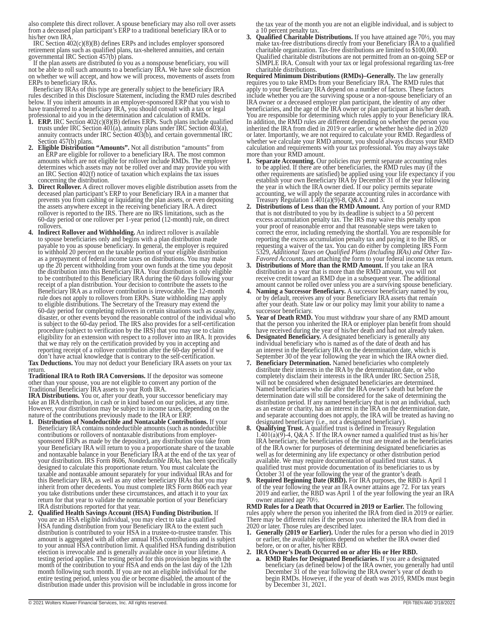also complete this direct rollover. A spouse beneficiary may also roll over assets from a deceased plan participant's ERP to a traditional beneficiary IRA or to his/her own IRA

IRC Section 402(c)(8)(B) defines ERPs and includes employer sponsored retirement plans such as qualified plans, tax-sheltered annuities, and certain governmental IRC Section 457(b) plans.

If the plan assets are distributed to you as a nonspouse beneficiary, you will not be able to roll such amounts to a beneficiary IRA. We have sole discretion on whether we will accept, and how we will process, movements of assets from ERPs to beneficiary IRAs.

Beneficiary IRAs of this type are generally subject to the beneficiary IRA rules described in this Disclosure Statement, including the RMD rules described below. If you inherit amounts in an employer-sponsored ERP that you wish to have transferred to a beneficiary IRA, you should consult with a tax or legal professional to aid you in the determination and calculation of RMDs.

- **1. ERP.** IRC Section 402(c)(8)(B) defines ERPs. Such plans include qualified trusts under IRC Section 401(a), annuity plans under IRC Section 403(a), annuity contracts under IRC Section 403(b), and certain governmental IRC Section 457(b) plans.
- **2. Eligible Distribution "Amounts".** Not all distribution "amounts" from an ERP are eligible for rollover to a beneficiary IRA. The most common amounts which are not eligible for rollover include RMDs. The employer determines which assets may not be rolled over and may provide you with an IRC Section 402(f) notice of taxation which explains the tax issues concerning the distribution.
- **3. Direct Rollover.** A direct rollover moves eligible distribution assets from the deceased plan participant's ERP to your Beneficiary IRA in a manner that prevents you from cashing or liquidating the plan assets, or even depositing the assets anywhere except in the receiving beneficiary IRA. A direct rollover is reported to the IRS. There are no IRS limitations, such as the 60-day period or one rollover per 1-year period (12-month) rule, on direct rollovers.
- **4. Indirect Rollover and Withholding.** An indirect rollover is available to spouse beneficiaries only and begins with a plan distribution made payable to you as spouse beneficiary. In general, the employer is required to withhold 20 percent on the taxable portion of your eligible distribution as a prepayment of federal income taxes on distributions. You may make up the 20 percent withholding from your own funds at the time you deposit the distribution into this Beneficiary IRA. Your distribution is only eligible to be contributed to this Beneficiary IRA during the 60 days following your receipt of a plan distribution. Your decision to contribute the assets to the Beneficiary IRA as a rollover contribution is irrevocable. The 12-month rule does not apply to rollovers from ERPs. State withholding may apply to eligible distributions. The Secretary of the Treasury may extend the 60-day period for completing rollovers in certain situations such as casualty, disaster, or other events beyond the reasonable control of the individual who is subject to the 60-day period. The IRS also provides for a self-certification procedure (subject to verification by the IRS) that you may use to claim eligibility for an extension with respect to a rollover into an IRA. It provides that we may rely on the certification provided by you in accepting and reporting receipt of a rollover contribution after the 60-day period if we don't have actual knowledge that is contrary to the self-certification.

**Tax Deductions.** You may not deduct your Beneficiary IRA assets on your tax return.

**Traditional IRA to Roth IRA Conversions.** If the depositor was someone other than your spouse, you are not eligible to convert any portion of the Traditional Beneficiary IRA assets to your Roth IRA.

**IRA Distributions.** You or, after your death, your successor beneficiary may take an IRA distribution, in cash or in kind based on our policies, at any time. However, your distribution may be subject to income taxes, depending on the nature of the contributions previously made to the IRA or ERP.

- **1. Distribution of Nondeductible and Nontaxable Contributions.** If your Beneficiary IRA contains nondeductible amounts (such as nondeductible contributions or rollovers of nontaxable distributions from employersponsored ERPs as made by the depositor), any distribution you take from your Beneficiary IRA will return to you a proportionate share of the taxable and nontaxable balance in your Beneficiary IRA at the end of the tax year of your distribution. IRS Form 8606, *Nondeductible IRAs,* has been specifically designed to calculate this proportionate return. You must calculate the taxable and nontaxable amount separately for your individual IRAs and for this Beneficiary IRA, as well as any other beneficiary IRAs that you may inherit from other decedents. You must complete IRS Form 8606 each year you take distributions under these circumstances, and attach it to your tax return for that year to validate the nontaxable portion of your Beneficiary IRA distributions reported for that year.
- **2. Qualified Health Savings Account (HSA) Funding Distribution.** If you are an HSA eligible individual, you may elect to take a qualified HSA funding distribution from your Beneficiary IRA to the extent such distribution is contributed to your HSA in a trustee-to-trustee transfer. This amount is aggregated with all other annual HSA contributions and is subject to your annual HSA contribution limit. A qualified HSA funding distribution election is irrevocable and is generally available once in your lifetime. A testing period applies. The testing period for this provision begins with the month of the contribution to your HSA and ends on the last day of the 12th month following such month. If you are not an eligible individual for the entire testing period, unless you die or become disabled, the amount of the distribution made under this provision will be includable in gross income for

the tax year of the month you are not an eligible individual, and is subject to a 10 percent penalty tax.

**Qualified Charitable Distributions.** If you have attained age 70<sup>1</sup>/<sub>2</sub>, you may make tax-free distributions directly from your Beneficiary IRA to a qualified charitable organization. Tax-free distributions are limited to \$100,000. Qualified charitable distributions are not permitted from an on-going SEP or SIMPLE IRA. Consult with your tax or legal professional regarding tax-free charitable distributions.

**Required Minimum Distributions (RMDs)–Generally.** The law generally requires you to take RMDs from your Beneficiary IRA. The RMD rules that apply to your Beneficiary IRA depend on a number of factors. These factors include whether you are the surviving spouse or a non-spouse beneficiary of an IRA owner or a deceased employer plan participant, the identity of any other beneficiaries, and the age of the IRA owner or plan participant at his/her death. You are responsible for determining which rules apply to your Beneficiary IRA. In addition, the RMD rules are different depending on whether the person you inherited the IRA from died in 2019 or earlier, or whether he/she died in 2020 or later. Importantly, we are not required to calculate your RMD. Regardless of whether we calculate your RMD amount, you should always discuss your RMD calculation and requirements with your tax professional. You may always take more than your RMD amount.

- **1. Separate Accounting.** Our policies may permit separate accounting rules to be applied. If there are other beneficiaries, the RMD rules may (if the other requirements are satisfied) be applied using your life expectancy if you establish your own Beneficiary IRA by December 31 of the year following the year in which the IRA owner died. If our policy permits separate accounting, we will apply the separate accounting rules in accordance with Treasury Regulation 1.401(a)(9)-8, Q&A 2 and 3.
- **2. Distributions of Less than the RMD Amount.** Any portion of your RMD that is not distributed to you by its deadline is subject to a 50 percent excess accumulation penalty tax. The IRS may waive this penalty upon your proof of reasonable error and that reasonable steps were taken to correct the error, including remedying the shortfall. You are responsible for reporting the excess accumulation penalty tax and paying it to the IRS, or requesting a waiver of the tax. You can do either by completing IRS Form 5329, *Additional Taxes on Qualified Plans (Including IRAs) and Other Tax-Favored Accounts,* and attaching the form to your federal income tax return.
- **Distributions of More than the RMD Amount.** If you take an IRA distribution in a year that is more than the RMD amount, you will not receive credit toward an RMD due in a subsequent year. The additional amount cannot be rolled over unless you are a surviving spouse beneficiary.
- **4. Naming a Successor Beneficiary.** A successor beneficiary named by you, or by default, receives any of your Beneficiary IRA assets that remain after your death. State law or our policy may limit your ability to name a successor beneficiary.
- **5. Year of Death RMD.** You must withdraw your share of any RMD amount that the person you inherited the IRA or employer plan benefit from should have received during the year of his/her death and had not already taken.
- **Designated Beneficiary.** A designated beneficiary is generally any individual beneficiary who is named as of the date of death and has an interest in the Beneficiary IRA on the determination date, which is September 30 of the year following the year in which the IRA owner died.
- **7. Beneficiary Determination.** Named beneficiaries who completely distribute their interests in the IRA by the determination date, or who completely disclaim their interests in the IRA under IRC Section 2518, will not be considered when designated beneficiaries are determined. Named beneficiaries who die after the IRA owner's death but before the determination date will still be considered for the sake of determining the distribution period. If any named beneficiary that is not an individual, such as an estate or charity, has an interest in the IRA on the determination date, and separate accounting does not apply, the IRA will be treated as having no did separate decounting does not apply, the HA will be dediced as have<br>designated beneficiary (i.e., not a designated beneficiary).<br>**Qualifying Trust.** A qualified trust is defined in Treasury Regulation
- 1.401(a)(9)-4, Q&A 5. If the IRA owner named a qualified trust as his/her IRA beneficiary, the beneficiaries of the trust are treated as the beneficiaries of the IRA owner for purposes of determining designated beneficiaries as well as for determining any life expectancy or other distribution period available. We may require documentation of qualified trust status. A qualified trust must provide documentation of its beneficiaries to us by October 31 of the year following the year of the grantor's death.
- **9. Required Beginning Date (RBD).** For IRA purposes, the RBD is April 1 of the year following the year an IRA owner attains age 72. For tax years 2019 and earlier, the RBD was April 1 of the year following the year an IRA owner attained age 70½.

**RMD Rules for a Death that Occurred in 2019 or Earlier.** The following rules apply where the person you inherited the IRA from died in 2019 or earlier. There may be different rules if the person you inherited the IRA from died in 2020 or later. Those rules are described later.

- **1. Generally (2019 or Earlier).** Under the rules for a person who died in 2019 or earlier, the available options depend on whether the IRA owner died before, or on or after, his/her RBD.<br>2. IRA Owner's Death Occurred on or after His or Her RBD.
- **2. RMD Rules for Designated Beneficiaries.** If you are a designated beneficiary (as defined below) of the IRA owner, you generally had until December 31 of the year following the IRA owner's year of death to begin RMDs. However, if the year of death was 2019, RMDs must begin by December 31, 2021.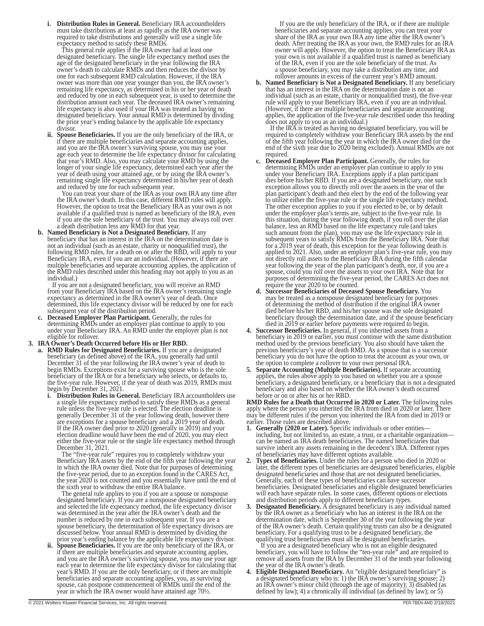**i. Distribution Rules in General.** Beneficiary IRA accountholders must take distributions at least as rapidly as the IRA owner was required to take distributions and generally will use a single life expectancy method to satisfy these RMDs.

This general rule applies if the IRA owner had at least one designated beneficiary. The single life expectancy method uses the age of the designated beneficiary in the year following the IRA owner's death to calculate RMDs and then reduces the divisor by one for each subsequent RMD calculation. However, if the IRA owner was more than one year younger than you, the IRA owner's remaining life expectancy, as determined in his or her year of death and reduced by one in each subsequent year, is used to determine the distribution amount each year. The deceased IRA owner's remaining life expectancy is also used if your IRA was treated as having no designated beneficiary. Your annual RMD is determined by dividing the prior year's ending balance by the applicable life expectancy divisor.

**ii. Spouse Beneficiaries.** If you are the only beneficiary of the IRA, or if there are multiple beneficiaries and separate accounting applies, and you are the IRA owner's surviving spouse, you may use your age each year to determine the life expectancy divisor for calculating that year's RMD. Also, you may calculate your RMD by using the longer of your single life expectancy, determined each year after the year of death using your attained age, or by using the IRA owner's remaining single life expectancy determined in his/her year of death and reduced by one for each subsequent year.

You can treat your share of the IRA as your own IRA any time after the IRA owner's death. In this case, different RMD rules will apply. However, the option to treat the Beneficiary IRA as your own is not available if a qualified trust is named as beneficiary of the IRA, even if you are the sole beneficiary of the trust. You may always roll over a death distribution less any RMD for that year.

**b. Named Beneficiary is Not a Designated Beneficiary.** If any beneficiary that has an interest in the IRA on the determination date is not an individual (such as an estate, charity or nonqualified trust), the following RMD rules, for a death on or after the RBD, will apply to your Beneficiary IRA, even if you are an individual. (However, if there are multiple beneficiaries and separate accounting applies, the application of the RMD rules described under this heading may not apply to you as an individual.)

If you are not a designated beneficiary, you will receive an RMD from your Beneficiary IRA based on the IRA owner's remaining single expectancy as determined in the IRA owner's year of death. Once determined, this life expectancy divisor will be reduced by one for each subsequent year of the distribution period.

**c. Deceased Employer Plan Participant.** Generally, the rules for determining RMDs under an employer plan continue to apply to you under your Beneficiary IRA. An RMD under the employer plan is not eligible for rollover.

**3. IRA Owner's Death Occurred before His or Her RBD.**

- **a. RMD Rules for Designated Beneficiaries.** If you are a designated beneficiary (as defined above) of the IRA, you generally had until December 31 of the year following the IRA owner's year of death to begin RMDs. Exceptions exist for a surviving spouse who is the sole beneficiary of the IRA or for a beneficiary who selects, or defaults to, the five-year rule. However, if the year of death was 2019, RMDs must begin by December 31, 2021.
	- **i. Distribution Rules in General.** Beneficiary IRA accountholders use a single life expectancy method to satisfy these RMDs as a general rule unless the five-year rule is elected. The election deadline is generally December 31 of the year following death, however there are exceptions for a spouse beneficiary and a 2019 year of death. If the IRA owner died prior to 2020 (generally in 2019) and your election deadline would have been the end of 2020, you may elect either the five-year rule or the single life expectancy method through December 31, 2021.

The "five-year rule" requires you to completely withdraw your Beneficiary IRA assets by the end of the fifth year following the year in which the IRA owner died. Note that for purposes of determining the five-year period, due to an exception found in the CARES Act, the year 2020 is not counted and you essentially have until the end of the sixth year to withdraw the entire IRA balance.

The general rule applies to you if you are a spouse or nonspouse designated beneficiary. If you are a nonspouse designated beneficiary and selected the life expectancy method, the life expectancy divisor was determined in the year after the IRA owner's death and the number is reduced by one in each subsequent year. If you are a spouse beneficiary, the determination of life expectancy divisors are discussed below. Your annual RMD is determined by dividing the prior year's ending balance by the applicable life expectancy divisor.

**ii. Spouse Beneficiaries.** If you are the only beneficiary of the IRA, or if there are multiple beneficiaries and separate accounting applies, and you are the IRA owner's surviving spouse, you may use your age each year to determine the life expectancy divisor for calculating that year's RMD. If you are the only beneficiary, or if there are multiple beneficiaries and separate accounting applies, you, as surviving spouse, can postpone commencement of RMDs until the end of the year in which the IRA owner would have attained age 70½.

If you are the only beneficiary of the IRA, or if there are multiple beneficiaries and separate accounting applies, you can treat your share of the IRA as your own IRA any time after the IRA owner' death. After treating the IRA as your own, the RMD rules for an IRA owner will apply. However, the option to treat the Beneficiary IRA as your own is not available if a qualified trust is named as beneficiary of the IRA, even if you are the sole beneficiary of the trust. As a spouse beneficiary, you may take a distribution any time, and rollover amounts in excess of the current year's RMD amount.

**b. Named Beneficiary is Not a Designated Beneficiary.** If any beneficiary that has an interest in the IRA on the determination date is not an individual (such as an estate, charity or nonqualified trust), the five-year rule will apply to your Beneficiary IRA, even if you are an individual. (However, if there are multiple beneficiaries and separate accounting applies, the application of the five-year rule described under this heading does not apply to you as an individual.)

If the IRA is treated as having no designated beneficiary, you will be required to completely withdraw your Beneficiary IRA assets by the end of the fifth year following the year in which the IRA owner died (or the end of the sixth year due to 2020 being excluded). Annual RMDs are not required.

- **c. Deceased Employer Plan Participant.** Generally, the rules for determining RMDs under an employer plan continue to apply to you under your Beneficiary IRA. Exceptions apply if a plan participant dies before his/her RBD. If you are a designated beneficiary, one such exception allows you to directly roll over the assets in the year of the plan participant's death and then elect by the end of the following year to utilize either the five-year rule or the single life expectancy method. The other exception applies to you if you elected to be, or by default under the employer plan's terms are, subject to the five-year rule. In this situation, during the year following death, if you roll over the plan balance, less an RMD based on the life expectancy rule (and takes such amount from the plan), you may use the life expectancy rule in subsequent years to satisfy RMDs from the Beneficiary IRA. Note that for a 2019 year of death, this exception for the year following death is applied to 2021. Also, under an employer plan's five-year rule, you may not directly roll assets to the Beneficiary IRA during the fifth calendar year following the year of the plan participant's death, nor, if you are a spouse, could you roll over the assets to your own IRA. Note that for purposes of determining the five-year period, the CARES Act does not require the year 2020 to be counted.
- **d. Successor Beneficiaries of Deceased Spouse Beneficiary.** You may be treated as a nonspouse designated beneficiary for purposes of determining the method of distribution if the original IRA owner died before his/her RBD, and his/her spouse was the sole designated beneficiary through the determination date, and if the spouse beneficiary died in 2019 or earlier before payments were required to begin.
- **4. Successor Beneficiaries.** In general, if you inherited assets from a beneficiary in 2019 or earlier, you must continue with the same distribution method used by the previous beneficiary. You also should have taken the previous beneficiary's year of death RMD. As a spouse that is a successor beneficiary you do not have the option to treat the account as your own, or the option to complete a rollover to your own personal IRA.
- **5. Separate Accounting (Multiple Beneficiaries).** If separate accounting applies, the rules above apply to you based on whether you are a spouse beneficiary, a designated beneficiary, or a beneficiary that is not a designated beneficiary and also based on whether the IRA owner's death occurred before or on or after his or her RBD.

**RMD Rules for a Death that Occurred in 2020 or Later.** The following rules apply where the person you inherited the IRA from died in 2020 or later. There may be different rules if the person you inherited the IRA from died in 2019 or earlier. Those rules are described above.

- **1. Generally (2020 or Later).** Specific individuals or other entities including, but not limited to, an estate, a trust, or a charitable organization can be named as IRA death beneficiaries. The named beneficiaries that survive inherit any assets remaining in the decedent's IRA. Different types of beneficiaries may have different options available.
- **2. Types of Beneficiaries.** Under the rules for a person who died in 2020 or later, the different types of beneficiaries are designated beneficiaries, eligible designated beneficiaries and those that are not designated beneficiaries. Generally, each of these types of beneficiaries can have successor beneficiaries. Designated beneficiaries and eligible designated beneficiaries will each have separate rules. In some cases, different options or elections and distribution periods apply to different beneficiary types.
- **Designated Beneficiary.** A designated beneficiary is any individual named by the IRA owner as a beneficiary who has an interest in the IRA on the determination date, which is September 30 of the year following the year of the IRA owner's death. Certain qualifying trusts can also be a designated beneficiary. For a qualifying trust to be a designated beneficiary, the qualifying trust beneficiaries must all be designated beneficiaries.

If you are a designated beneficiary who is not an eligible designated beneficiary, you will have to follow the "ten-year rule" and are required to remove all assets from the IRA by December 31 of the tenth year following the year of the IRA owner's death.

**4. Eligible Designated Beneficiary.** An "eligible designated beneficiary" is a designated beneficiary who is: 1) the IRA owner's surviving spouse; 2) an IRA owner's minor child (through the age of majority); 3) disabled (as defined by law); 4) a chronically ill individual (as defined by law); or 5)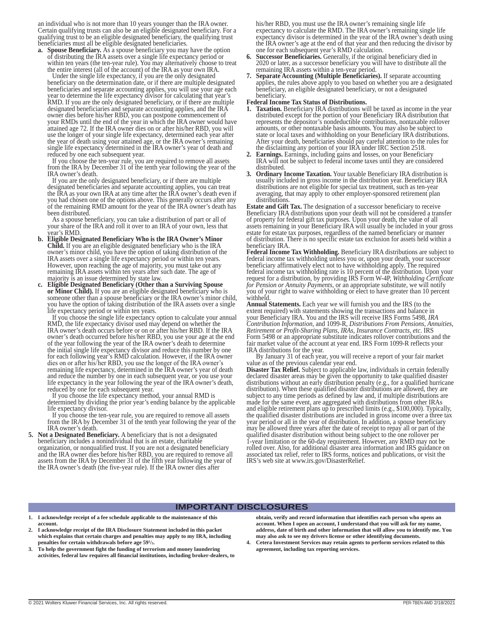an individual who is not more than 10 years younger than the IRA owner. Certain qualifying trusts can also be an eligible designated beneficiary. For a qualifying trust to be an eligible designated beneficiary, the qualifying trust beneficiaries must all be eligible designated beneficiaries.<br>**a.** Spouse Beneficiary, As a spouse beneficiary you may

**a. Spouse Beneficiary.** As a spouse beneficiary you may have the option of distributing the IRA assets over a single life expectancy period or within ten years (the ten-year rule). You may alternatively choose to treat the entire interest (all of the account) of the IRA as your own IRA.

Under the single life expectancy, if you are the only designated beneficiary on the determination date, or if there are multiple designated beneficiaries and separate accounting applies, you will use your age each year to determine the life expectancy divisor for calculating that year's RMD. If you are the only designated beneficiary, or if there are multiple designated beneficiaries and separate accounting applies, and the IRA owner dies before his/her RBD, you can postpone commencement of your RMDs until the end of the year in which the IRA owner would have attained age 72. If the IRA owner dies on or after his/her RBD, you will use the longer of your single life expectancy, determined each year after the year of death using your attained age, or the IRA owner's remaining single life expectancy determined in the IRA owner's year of death and reduced by one each subsequent year.

If you choose the ten-year rule, you are required to remove all assets from the IRA by December 31 of the tenth year following the year of the IRA owner's death.

If you are the only designated beneficiary, or if there are multiple designated beneficiaries and separate accounting applies, you can treat the IRA as your own IRA at any time after the IRA owner's death even if you had chosen one of the options above. This generally occurs after any of the remaining RMD amount for the year of the IRA owner's death has been distributed.

As a spouse beneficiary, you can take a distribution of part or all of your share of the IRA and roll it over to an IRA of your own, less that ear's RMD.

- **b. Eligible Designated Beneficiary Who is the IRA Owner's Minor Child.** If you are an eligible designated beneficiary who is the IRA owner's minor child, you have the option of taking distribution of the IRA assets over a single life expectancy period or within ten years. However, upon reaching the age of majority, you must take out any remaining IRA assets within ten years after such date. The age of majority is an issue determined by state law.
- **c. Eligible Designated Beneficiary (Other than a Surviving Spouse or Minor Child).** If you are an eligible designated beneficiary who is someone other than a spouse beneficiary or the IRA owner's minor child, you have the option of taking distribution of the IRA assets over a single life expectancy period or within ten years.

If you choose the single life expectancy option to calculate your annual RMD, the life expectancy divisor used may depend on whether the IRA owner's death occurs before or on or after his/her RBD. If the IRA owner's death occurred before his/her RBD, you use your age at the end of the year following the year of the IRA owner's death to determine the initial single life expectancy divisor and reduce this number by one for each following year's RMD calculation. However, if the IRA owner dies on or after his/ her RBD, you use the longer of the IRA owner's remaining life expectancy, determined in the IRA owner's year of death and reduce the number by one in each subsequent year, or you use your life expectancy in the year following the year of the IRA owner's death, reduced by one for each subsequent year.

If you choose the life expectancy method, your annual RMD is determined by dividing the prior year's ending balance by the applicable life expectancy divisor.

If you choose the ten-year rule, you are required to remove all assets from the IRA by December 31 of the tenth year following the year of the IRA owner's death.

**5. Not a Designated Beneficiary.** A beneficiary that is not a designated beneficiary includes a nonindividual that is an estate, charitable organization, or nonqualified trust. If you are not a designated beneficiary and the IRA owner dies before his/her RBD, you are required to remove all assets from the IRA by December 31 of the fifth year following the year of the IRA owner's death (the five-year rule). If the IRA owner dies after

his/her RBD, you must use the IRA owner's remaining single life expectancy to calculate the RMD. The IRA owner's remaining single life expectancy divisor is determined in the year of the IRA owner's death using the IRA owner's age at the end of that year and then reducing the divisor by one for each subsequent year's RMD calculation.

- **Successor Beneficiaries.** Generally, if the original beneficiary died in 2020 or later, as a successor beneficiary you will have to distribute all the remaining IRA assets within a ten-year period.
- **7. Separate Accounting (Multiple Beneficiaries).** If separate accounting applies, the rules above apply to you based on whether you are a designated beneficiary, an eligible designated beneficiary, or not a designated beneficiary.

### **Federal Income Tax Status of Distributions.**

- **1. Taxation.** Beneficiary IRA distributions will be taxed as income in the year distributed except for the portion of your Beneficiary IRA distribution that represents the depositor's nondeductible contributions, nontaxable rollover amounts, or other nontaxable basis amounts. You may also be subject to state or local taxes and withholding on your Beneficiary IRA distributions. After your death, beneficiaries should pay careful attention to the rules for the disclaiming any portion of your IRA under IRC Section 2518.
- **2. Earnings.** Earnings, including gains and losses, on your Beneficiary IRA will not be subject to federal income taxes until they are considered distributed.
- **3. Ordinary Income Taxation.** Your taxable Beneficiary IRA distribution is usually included in gross income in the distribution year. Beneficiary IRA distributions are not eligible for special tax treatment, such as ten-year averaging, that may apply to other employer-sponsored retirement plan distributions.

**Estate and Gift Tax.** The designation of a successor beneficiary to receive Beneficiary IRA distributions upon your death will not be considered a transfer of property for federal gift tax purposes. Upon your death, the value of all assets remaining in your Beneficiary IRA will usually be included in your gross estate for estate tax purposes, regardless of the named beneficiary or manner of distribution. There is no specific estate tax exclusion for assets held within a beneficiary IRA

**Federal Income Tax Withholding.** Beneficiary IRA distributions are subject to federal income tax withholding unless you or, upon your death, your successor beneficiary affirmatively elect not to have withholding apply. The required federal income tax withholding rate is 10 percent of the distribution. Upon your request for a distribution, by providing IRS Form W-4P, *Withholding Certificate for Pension or Annuity Payments*, or an appropriate substitute, we will notify you of your right to waive withholding or elect to have greater than 10 percent withheld.

**Annual Statements.** Each year we will furnish you and the IRS (to the extent required) with statements showing the transactions and balance in your Beneficiary IRA. You and the IRS will receive IRS Forms 5498, *IRA Contribution Information*, and 1099-R, *Distributions From Pensions, Annuities, Retirement or Profit-Sharing Plans, IRAs, Insurance Contracts, etc*. IRS Form 5498 or an appropriate substitute indicates rollover contributions and the fair market value of the account at year end. IRS Form 1099-R reflects your IRA distributions for the year.

By January 31 of each year, you will receive a report of your fair market value as of the previous calendar year end.

**Disaster Tax Relief.** Subject to applicable law, individuals in certain federally declared disaster areas may be given the opportunity to take qualified disaster distributions without an early distribution penalty (e.g., for a qualified hurricane distribution). When these qualified disaster distributions are allowed, they are subject to any time periods as defined by law and, if multiple distributions are made for the same event, are aggregated with distributions from other IRAs and eligible retirement plans up to prescribed limits (e.g., \$100,000). Typically, the qualified disaster distributions are included in gross income over a three tax year period or all in the year of distribution. In addition, a spouse beneficiary may be allowed three years after the date of receipt to repay all or part of the qualified disaster distribution without being subject to the one rollover per 1-year limitation or the 60-day requirement. However, any RMD may not be rolled over. Also, for additional disaster area information and IRS guidance on associated tax relief, refer to IRS forms, notices and publications, or visit the IRS's web site at www.irs.gov/DisasterRelief.

#### **IMPORTANT DISCLOSURES**

- **1. I acknowledge receipt of a fee schedule applicable to the maintenance of this account.**
- **2. I acknowledge receipt of the IRA Disclosure Statement included in this packet which explains that certain charges and penalties may apply to my IRA, including penalties for certain withdrawals before age 591 /2.**
- **3. To help the government fight the funding of terrorism and money laundering activities, federal law requires all financial institutions, including broker-dealers, to**

**obtain, verify and record information that identifies each person who opens an account. When I open an account, I understand that you will ask for my name, address, date of birth and other information that will allow you to identify me. You may also ask to see my drivers license or other identifying documents.**

**4. Cetera Investment Services may retain agents to perform services related to this agreement, including tax reporting services.**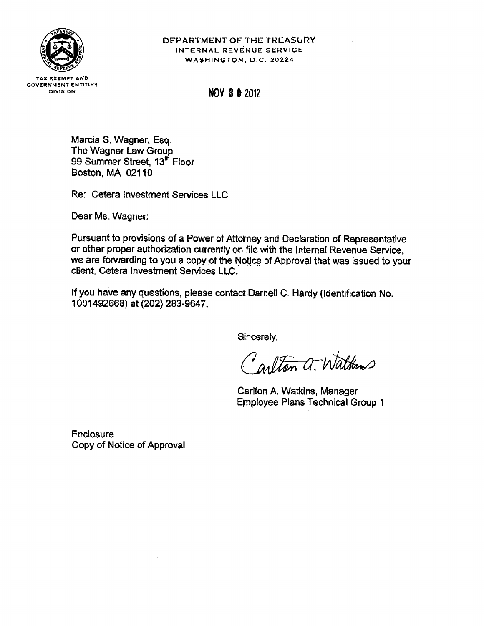

# DEPARTMENT OF THE TREASURY INTERNAL REVENUE SERVICE WASHINGTON, D.C. 20224

**TAX EXEMPT AND GOVERNMENT ENTITIES** DIVISION

**NOV 3 0 2012** 

Marcia S. Wagner, Esq. The Wagner Law Group 99 Summer Street, 13<sup>th</sup> Floor Boston, MA 02110

Re: Cetera Investment Services LLC

Dear Ms. Wagner:

Pursuant to provisions of a Power of Attorney and Declaration of Representative, or other proper authorization currently on file with the Internal Revenue Service. we are forwarding to you a copy of the Notice of Approval that was issued to your client, Cetera Investment Services LLC.

If you have any questions, please contact Darnell C. Hardy (Identification No. 1001492668) at (202) 283-9647.

Sincerely,

Carlton a. Waltons

Carlton A. Watkins, Manager **Employee Plans Technical Group 1** 

**Enclosure** Copy of Notice of Approval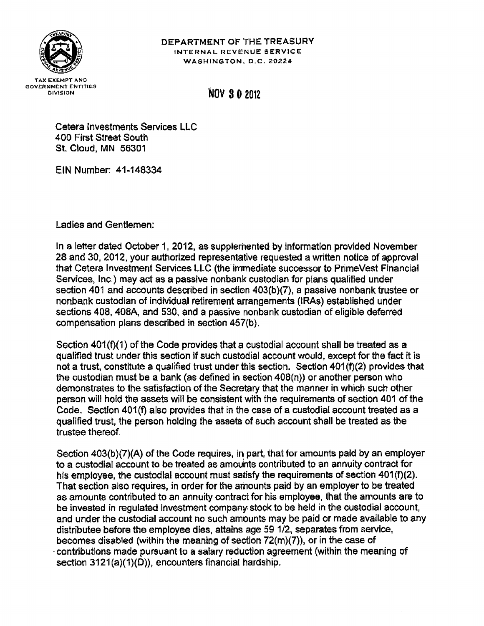

# DEPARTMENT OF THE TREASURY INTERNAL REVENUE SERVICE WASHINGTON, D.C. 20224

# **NOV 30 2012**

Cetera Investments Services LLC 400 First Street South St. Cloud, MN 56301

EIN Number: 41-148334

Ladies and Gentlemen:

In a letter dated October 1, 2012, as supplemented by information provided November 28 and 30, 2012, your authorized representative requested a written notice of approval that Cetera Investment Services LLC (the immediate successor to PrimeVest Financial Services, Inc.) may act as a passive nonbank custodian for plans qualified under section 401 and accounts described in section 403(b)(7), a passive nonbank trustee or nonbank custodian of individual retirement arrangements (IRAs) established under sections 408, 408A, and 530, and a passive nonbank custodian of eligible deferred compensation plans described in section 457(b).

Section 401(f)(1) of the Code provides that a custodial account shall be treated as a qualified trust under this section if such custodial account would, except for the fact it is not a trust, constitute a qualified trust under this section. Section 401(f)(2) provides that the custodian must be a bank (as defined in section 408(n)) or another person who demonstrates to the satisfaction of the Secretary that the manner in which such other person will hold the assets will be consistent with the requirements of section 401 of the Code. Section 401(f) also provides that in the case of a custodial account treated as a qualified trust, the person holding the assets of such account shall be treated as the trustee thereof.

Section 403(b)(7)(A) of the Code requires, in part, that for amounts paid by an employer to a custodial account to be treated as amounts contributed to an annuity contract for his employee, the custodial account must satisfy the requirements of section 401(f)(2). That section also requires, in order for the amounts paid by an employer to be treated as amounts contributed to an annuity contract for his employee, that the amounts are to be invested in regulated investment company stock to be held in the custodial account, and under the custodial account no such amounts may be paid or made available to any distributee before the employee dies, attains age 59 1/2, separates from service, becomes disabled (within the meaning of section  $72(m)(7)$ ), or in the case of contributions made pursuant to a salary reduction agreement (within the meaning of section 3121(a)(1)(D)), encounters financial hardship.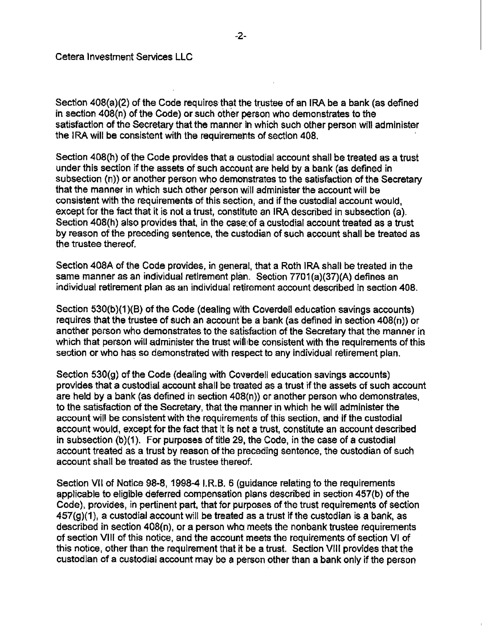Section 408(a)(2) of the Code requires that the trustee of an IRA be a bank (as defined in section 408(n) of the Code) or such other person who demonstrates to the satisfaction of the Secretary that the manner in which such other person will administer the IRA will be consistent with the requirements of section 408.

Section 408(h) of the Code provides that a custodial account shall be treated as a trust under this section if the assets of such account are held by a bank (as defined in subsection (n)) or another person who demonstrates to the satisfaction of the Secretary that the manner in which such other person will administer the account will be consistent with the requirements of this section, and if the custodial account would, except for the fact that it is not a trust, constitute an IRA described in subsection (a). Section 408(h) also provides that, in the case of a custodial account treated as a trust by reason of the preceding sentence, the custodian of such account shall be treated as the trustee thereof.

Section 408A of the Code provides, in general, that a Roth IRA shall be treated in the same manner as an individual retirement plan. Section 7701(a)(37)(A) defines an individual retirement plan as an individual retirement account described in section 408.

Section 530(b)(1)(B) of the Code (dealing with Coverdell education savings accounts) requires that the trustee of such an account be a bank (as defined in section  $408(n)$ ) or another person who demonstrates to the satisfaction of the Secretary that the manner in which that person will administer the trust will be consistent with the requirements of this section or who has so demonstrated with respect to any individual retirement plan.

Section 530(g) of the Code (dealing with Coverdell education savings accounts) provides that a custodial account shall be treated as a trust if the assets of such account are held by a bank (as defined in section 408(n)) or another person who demonstrates, to the satisfaction of the Secretary, that the manner in which he will administer the account will be consistent with the requirements of this section, and if the custodial account would, except for the fact that it is not a trust, constitute an account described in subsection (b)(1). For purposes of title 29, the Code, in the case of a custodial account treated as a trust by reason of the preceding sentence, the custodian of such account shall be treated as the trustee thereof.

Section VII of Notice 98-8, 1998-4 I.R.B. 6 (guidance relating to the requirements applicable to eligible deferred compensation plans described in section 457(b) of the Code), provides, in pertinent part, that for purposes of the trust requirements of section  $457(g)(1)$ , a custodial account will be treated as a trust if the custodian is a bank, as described in section 408(n), or a person who meets the nonbank trustee requirements of section VIII of this notice, and the account meets the requirements of section VI of this notice, other than the requirement that it be a trust. Section VIII provides that the custodian of a custodial account may be a person other than a bank only if the person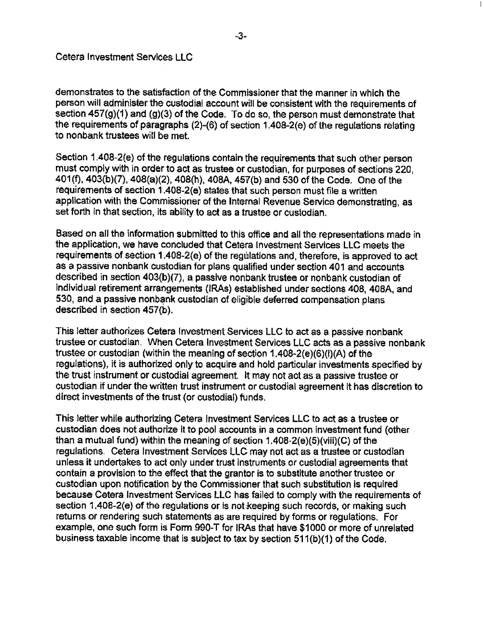demonstrates to the satisfaction of the Commissioner that the manner in which the person will administer the custodial account will be consistent with the requirements of section 457(g)(1) and (g)(3) of the Code. To do so, the person must demonstrate that the requirements of paragraphs (2)-(6) of section 1.408-2(e) of the regulations relating to nonbank trustees will be met.

Section 1.408-2(e) of the regulations contain the requirements that such other person must comply with in order to act as trustee or custodian, for purposes of sections 220. 401(f), 403(b)(7), 408(a)(2), 408(h), 408A, 457(b) and 530 of the Code. One of the requirements of section 1.408-2(e) states that such person must file a written application with the Commissioner of the Internal Revenue Service demonstrating, as set forth in that section, its ability to act as a trustee or custodian.

Based on all the information submitted to this office and all the representations made in the application, we have concluded that Cetera Investment Services LLC meets the requirements of section 1.408-2(e) of the regulations and, therefore, is approved to act as a passive nonbank custodian for plans qualified under section 401 and accounts described in section 403(b)(7), a passive nonbank trustee or nonbank custodian of individual retirement arrangements (IRAs) established under sections 408, 408A, and 530, and a passive nonbank custodian of eligible deferred compensation plans described in section 457(b).

This letter authorizes Cetera Investment Services LLC to act as a passive nonbank trustee or custodian. When Cetera Investment Services LLC acts as a passive nonbank trustee or custodian (within the meaning of section 1.408-2(e)(6)(i)(A) of the regulations), it is authorized only to acquire and hold particular investments specified by the trust instrument or custodial agreement. It may not act as a passive trustee or custodian if under the written trust instrument or custodial agreement it has discretion to direct investments of the trust (or custodial) funds.

This letter while authorizing Cetera Investment Services LLC to act as a trustee or custodian does not authorize it to pool accounts in a common investment fund (other than a mutual fund) within the meaning of section 1.408-2(e)(5)(viii)(C) of the regulations. Cetera Investment Services LLC may not act as a trustee or custodian unless it undertakes to act only under trust instruments or custodial agreements that contain a provision to the effect that the grantor is to substitute another trustee or custodian upon notification by the Commissioner that such substitution is required because Cetera Investment Services LLC has failed to comply with the requirements of section 1.408-2(e) of the regulations or is not keeping such records, or making such returns or rendering such statements as are required by forms or regulations. For example, one such form is Form 990-T for IRAs that have \$1000 or more of unrelated business taxable income that is subject to tax by section 511(b)(1) of the Code.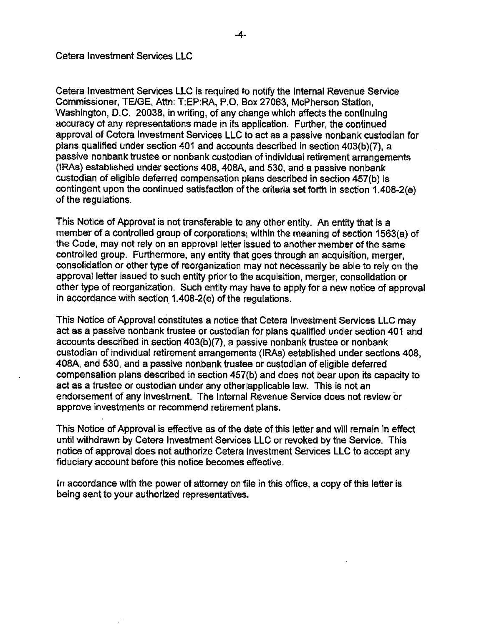Cetera Investment Services LLC is required to notify the Internal Revenue Service Commissioner, TE/GE, Attn: T:EP:RA, P.O. Box 27063, McPherson Station, Washington, D.C. 20038, in writing, of any change which affects the continuing accuracy of any representations made in its application. Further, the continued approval of Cetera Investment Services LLC to act as a passive nonbank custodian for plans qualified under section 401 and accounts described in section 403(b)(7), a passive nonbank trustee or nonbank custodian of individual retirement arrangements (IRAs) established under sections 408, 408A, and 530, and a passive nonbank custodian of eligible deferred compensation plans described in section 457(b) is contingent upon the continued satisfaction of the criteria set forth in section 1.408-2(e) of the regulations.

This Notice of Approval is not transferable to any other entity. An entity that is a member of a controlled group of corporations, within the meaning of section 1563(a) of the Code, may not rely on an approval letter issued to another member of the same controlled group. Furthermore, any entity that goes through an acquisition, merger, consolidation or other type of reorganization may not necessarily be able to rely on the approval letter issued to such entity prior to the acquisition, merger, consolidation or other type of reorganization. Such entity may have to apply for a new notice of approval in accordance with section 1.408-2(e) of the regulations.

This Notice of Approval constitutes a notice that Cetera Investment Services LLC may act as a passive nonbank trustee or custodian for plans qualified under section 401 and accounts described in section 403(b)(7), a passive nonbank trustee or nonbank custodian of individual retirement arrangements (IRAs) established under sections 408, 408A, and 530, and a passive nonbank trustee or custodian of eligible deferred compensation plans described in section 457(b) and does not bear upon its capacity to act as a trustee or custodian under any other applicable law. This is not an endorsement of any investment. The Internal Revenue Service does not review or approve investments or recommend retirement plans.

This Notice of Approval is effective as of the date of this letter and will remain in effect until withdrawn by Cetera Investment Services LLC or revoked by the Service. This notice of approval does not authorize Cetera Investment Services LLC to accept any fiduciary account before this notice becomes effective.

In accordance with the power of attorney on file in this office, a copy of this letter is being sent to your authorized representatives.